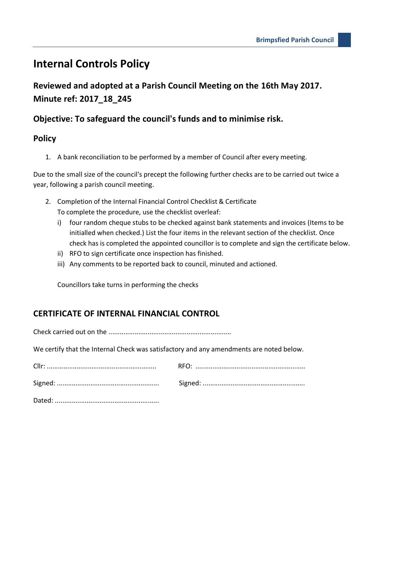## **Internal Controls Policy**

**Reviewed and adopted at a Parish Council Meeting on the 16th May 2017. Minute ref: 2017\_18\_245**

## **Objective: To safeguard the council's funds and to minimise risk.**

## **Policy**

1. A bank reconciliation to be performed by a member of Council after every meeting.

Due to the small size of the council's precept the following further checks are to be carried out twice a year, following a parish council meeting.

- 2. Completion of the Internal Financial Control Checklist & Certificate To complete the procedure, use the checklist overleaf:
	- i) four random cheque stubs to be checked against bank statements and invoices (Items to be initialled when checked.) List the four items in the relevant section of the checklist. Once check has is completed the appointed councillor is to complete and sign the certificate below.
	- ii) RFO to sign certificate once inspection has finished.
	- iii) Any comments to be reported back to council, minuted and actioned.

Councillors take turns in performing the checks

## **CERTIFICATE OF INTERNAL FINANCIAL CONTROL**

Check carried out on the ..................................................................

We certify that the Internal Check was satisfactory and any amendments are noted below.